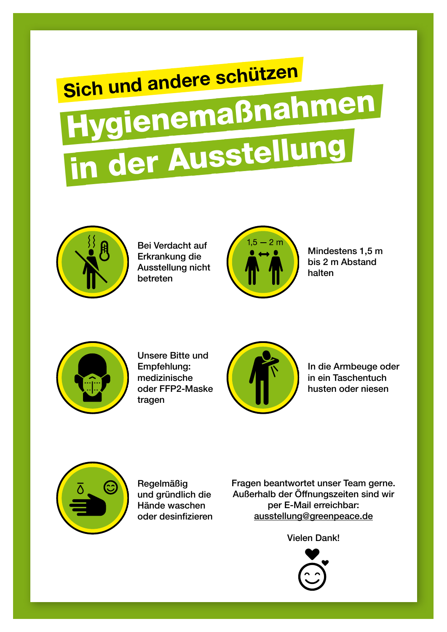## Sich und andere schützen Hygienemaßnahmen in der Ausstellung



Bei Verdacht auf Erkrankung die Ausstellung nicht betreten



Mindestens 1,5 m bis 2 m Abstand halten



Unsere Bitte und Empfehlung: medizinische oder FFP2-Maske tragen



In die Armbeuge oder in ein Taschentuch husten oder niesen



Regelmäßig und gründlich die Hände waschen oder desinfizieren

Fragen beantwortet unser Team gerne. Außerhalb der Öffnungszeiten sind wir per E-Mail erreichbar: ausstellung@greenpeace.de

Vielen Dank!